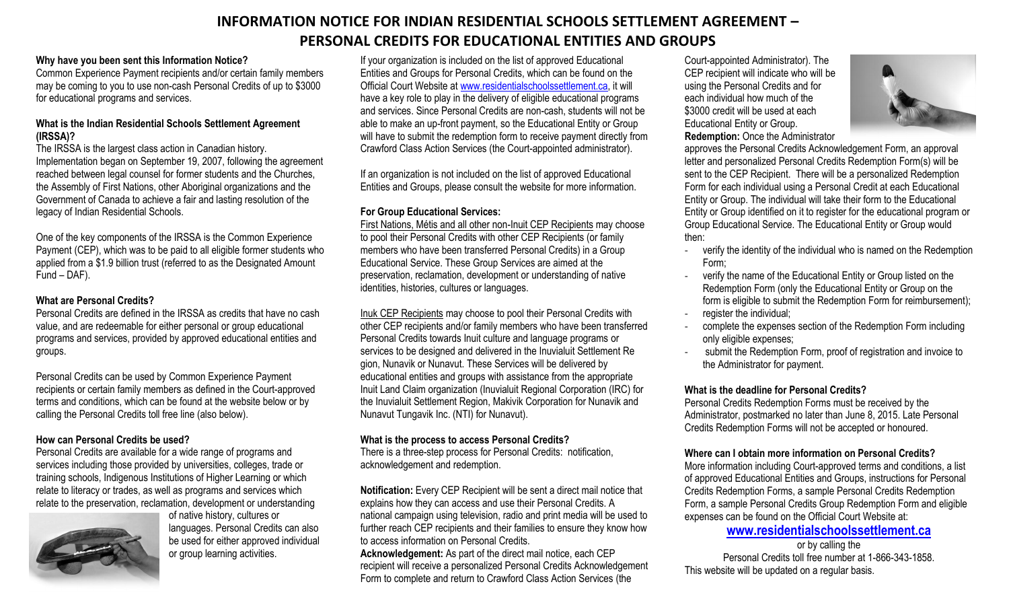# **INFORMATION NOTICE FOR INDIAN RESIDENTIAL SCHOOLS SETTLEMENT AGREEMENT – PERSONAL CREDITS FOR EDUCATIONAL ENTITIES AND GROUPS**

## **Why have you been sent this Information Notice?**

Common Experience Payment recipients and/or certain family members may be coming to you to use non-cash Personal Credits of up to \$3000 for educational programs and services.

### **What is the Indian Residential Schools Settlement Agreement (IRSSA)?**

The IRSSA is the largest class action in Canadian history. Implementation began on September 19, 2007, following the agreement reached between legal counsel for former students and the Churches, the Assembly of First Nations, other Aboriginal organizations and the Government of Canada to achieve a fair and lasting resolution of the legacy of Indian Residential Schools.

One of the key components of the IRSSA is the [Common Experience](http://www.aadnc-aandc.gc.ca/eng/1100100015594/1100100015595)  [Payment](http://www.aadnc-aandc.gc.ca/eng/1100100015594/1100100015595) (CEP), which was to be paid to all eligible former students who applied from a \$1.9 billion trust (referred to as the Designated Amount Fund – DAF).

### **What are Personal Credits?**

Personal Credits are defined in the IRSSA as credits that have no cash value, and are redeemable for either personal or group educational programs and services, provided by approved educational entities and groups.

Personal Credits can be used by Common Experience Payment recipients or certain family members as defined in the Court-approved terms and conditions, which can be found at the website below or by calling the Personal Credits toll free line (also below).

## **How can Personal Credits be used?**

Personal Credits are available for a wide range of programs and services including those provided by universities, colleges, trade or training schools, Indigenous Institutions of Higher Learning or which relate to literacy or trades, as well as programs and services which relate to the preservation, reclamation, development or understanding



of native history, cultures or languages. Personal Credits can also be used for either approved individual or group learning activities.

If your organization is included on the list of approved Educational Entities and Groups for Personal Credits, which can be found on the Official Court Website at [www.residentialschoolssettlement.ca,](http://www.residentialschoolssettlement.ca/) it will have a key role to play in the delivery of eligible educational programs and services. Since Personal Credits are non-cash, students will not be able to make an up-front payment, so the Educational Entity or Group will have to submit the redemption form to receive payment directly from Crawford Class Action Services (the Court-appointed administrator).

If an organization is not included on the list of approved Educational Entities and Groups, please consult the website for more information.

## **For Group Educational Services:**

First Nations, Métis and all other non-Inuit CEP Recipients may choose to pool their Personal Credits with other CEP Recipients (or family members who have been transferred Personal Credits) in a Group Educational Service. These Group Services are aimed at the preservation, reclamation, development or understanding of native identities, histories, cultures or languages.

Inuk CEP Recipients may choose to pool their Personal Credits with other CEP recipients and/or family members who have been transferred Personal Credits towards Inuit culture and language programs or services to be designed and delivered in the Inuvialuit Settlement Re gion, Nunavik or Nunavut. These Services will be delivered by educational entities and groups with assistance from the appropriate Inuit Land Claim organization (Inuvialuit Regional Corporation (IRC) for the Inuvialuit Settlement Region, Makivik Corporation for Nunavik and Nunavut Tungavik Inc. (NTI) for Nunavut).

## **What is the process to access Personal Credits?**

There is a three-step process for Personal Credits: notification, acknowledgement and redemption.

**Notification:** Every CEP Recipient will be sent a direct mail notice that explains how they can access and use their Personal Credits. A national campaign using television, radio and print media will be used to further reach CEP recipients and their families to ensure they know how to access information on Personal Credits.

**Acknowledgement:** As part of the direct mail notice, each CEP recipient will receive a personalized Personal Credits Acknowledgement Form to complete and return to Crawford Class Action Services (the

Court-appointed Administrator). The CEP recipient will indicate who will be using the Personal Credits and for each individual how much of the \$3000 credit will be used at each Educational Entity or Group. **Redemption:** Once the Administrator



approves the Personal Credits Acknowledgement Form, an approval letter and personalized Personal Credits Redemption Form(s) will be sent to the CEP Recipient. There will be a personalized Redemption Form for each individual using a Personal Credit at each Educational Entity or Group. The individual will take their form to the Educational Entity or Group identified on it to register for the educational program or Group Educational Service. The Educational Entity or Group would then:

- verify the identity of the individual who is named on the Redemption Form;
- verify the name of the Educational Entity or Group listed on the Redemption Form (only the Educational Entity or Group on the form is eligible to submit the Redemption Form for reimbursement); register the individual:
- complete the expenses section of the Redemption Form including only eligible expenses;
- submit the Redemption Form, proof of registration and invoice to the Administrator for payment.

## **What is the deadline for Personal Credits?**

Personal Credits Redemption Forms must be received by the Administrator, postmarked no later than June 8, 2015. Late Personal Credits Redemption Forms will not be accepted or honoured.

## **Where can I obtain more information on Personal Credits?**

More information including Court-approved terms and conditions, a list of approved Educational Entities and Groups, instructions for Personal Credits Redemption Forms, a sample Personal Credits Redemption Form, a sample Personal Credits Group Redemption Form and eligible expenses can be found on the Official Court Website at:

# **[www.residentialschoolssettlement.ca](http://www.residentialschoolssettlement.ca/)**

or by calling the Personal Credits toll free number at 1-866-343-1858. This website will be updated on a regular basis.